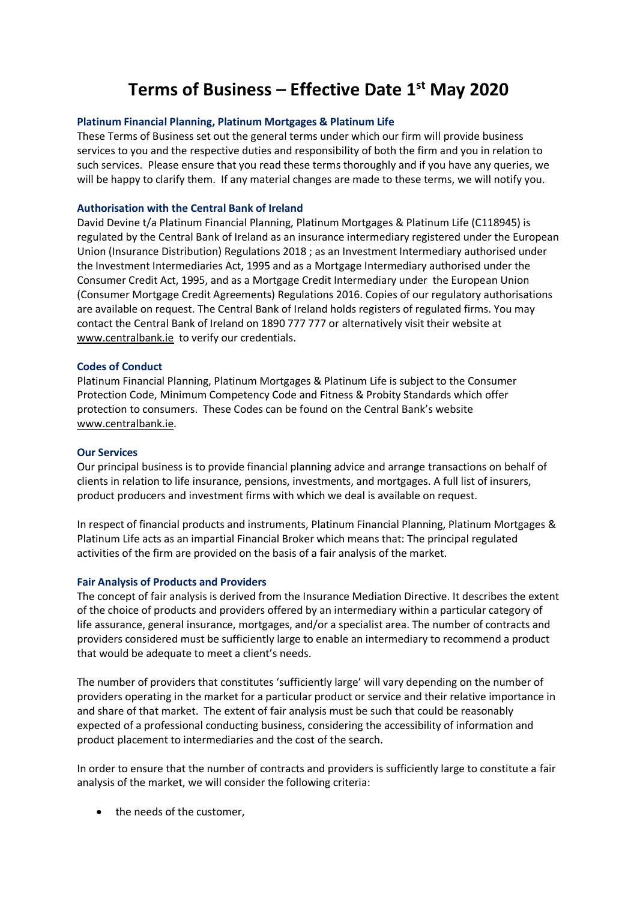# **Terms of Business – Effective Date 1st May 2020**

### **Platinum Financial Planning, Platinum Mortgages & Platinum Life**

These Terms of Business set out the general terms under which our firm will provide business services to you and the respective duties and responsibility of both the firm and you in relation to such services. Please ensure that you read these terms thoroughly and if you have any queries, we will be happy to clarify them. If any material changes are made to these terms, we will notify you.

#### **Authorisation with the Central Bank of Ireland**

David Devine t/a Platinum Financial Planning, Platinum Mortgages & Platinum Life (C118945) is regulated by the Central Bank of Ireland as an insurance intermediary registered under the European Union (Insurance Distribution) Regulations 2018 ; as an Investment Intermediary authorised under the Investment Intermediaries Act, 1995 and as a Mortgage Intermediary authorised under the Consumer Credit Act, 1995, and as a Mortgage Credit Intermediary under the European Union (Consumer Mortgage Credit Agreements) Regulations 2016. Copies of our regulatory authorisations are available on request. The Central Bank of Ireland holds registers of regulated firms. You may contact the Central Bank of Ireland on 1890 777 777 or alternatively visit their website at [www.centralbank.ie](http://www.centralbank.ie/) to verify our credentials.

#### **Codes of Conduct**

Platinum Financial Planning, Platinum Mortgages & Platinum Life is subject to the Consumer Protection Code, Minimum Competency Code and Fitness & Probity Standards which offer protection to consumers. These Codes can be found on the Central Bank's website www.centralbank.ie.

#### **Our Services**

Our principal business is to provide financial planning advice and arrange transactions on behalf of clients in relation to life insurance, pensions, investments, and mortgages. A full list of insurers, product producers and investment firms with which we deal is available on request.

In respect of financial products and instruments, Platinum Financial Planning, Platinum Mortgages & Platinum Life acts as an impartial Financial Broker which means that: The principal regulated activities of the firm are provided on the basis of a fair analysis of the market.

#### **Fair Analysis of Products and Providers**

The concept of fair analysis is derived from the Insurance Mediation Directive. It describes the extent of the choice of products and providers offered by an intermediary within a particular category of life assurance, general insurance, mortgages, and/or a specialist area. The number of contracts and providers considered must be sufficiently large to enable an intermediary to recommend a product that would be adequate to meet a client's needs.

The number of providers that constitutes 'sufficiently large' will vary depending on the number of providers operating in the market for a particular product or service and their relative importance in and share of that market. The extent of fair analysis must be such that could be reasonably expected of a professional conducting business, considering the accessibility of information and product placement to intermediaries and the cost of the search.

In order to ensure that the number of contracts and providers is sufficiently large to constitute a fair analysis of the market, we will consider the following criteria:

• the needs of the customer,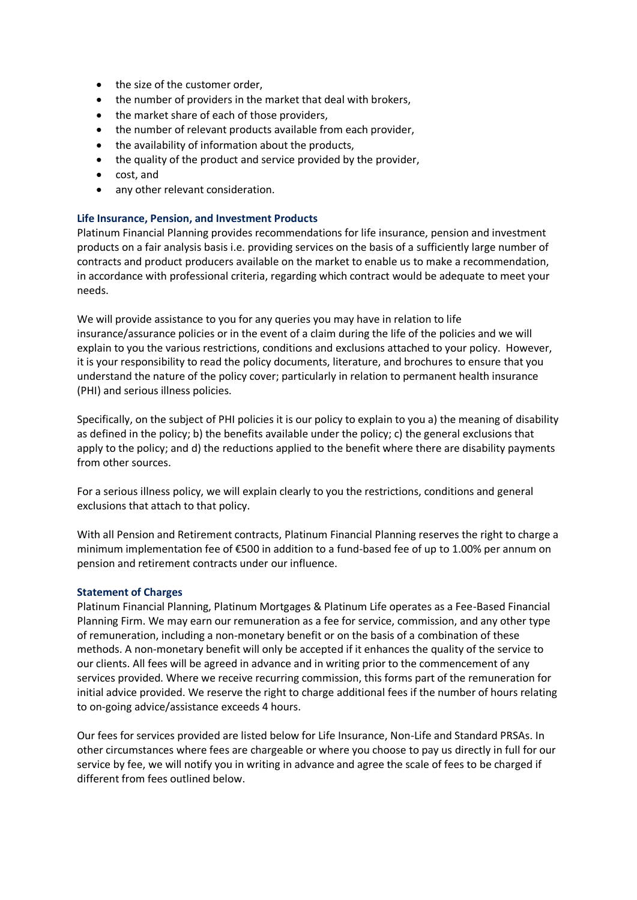- the size of the customer order,
- the number of providers in the market that deal with brokers,
- the market share of each of those providers,
- the number of relevant products available from each provider,
- the availability of information about the products,
- the quality of the product and service provided by the provider,
- cost, and
- any other relevant consideration.

# **Life Insurance, Pension, and Investment Products**

Platinum Financial Planning provides recommendations for life insurance, pension and investment products on a fair analysis basis i.e. providing services on the basis of a sufficiently large number of contracts and product producers available on the market to enable us to make a recommendation, in accordance with professional criteria, regarding which contract would be adequate to meet your needs.

We will provide assistance to you for any queries you may have in relation to life insurance/assurance policies or in the event of a claim during the life of the policies and we will explain to you the various restrictions, conditions and exclusions attached to your policy. However, it is your responsibility to read the policy documents, literature, and brochures to ensure that you understand the nature of the policy cover; particularly in relation to permanent health insurance (PHI) and serious illness policies.

Specifically, on the subject of PHI policies it is our policy to explain to you a) the meaning of disability as defined in the policy; b) the benefits available under the policy; c) the general exclusions that apply to the policy; and d) the reductions applied to the benefit where there are disability payments from other sources.

For a serious illness policy, we will explain clearly to you the restrictions, conditions and general exclusions that attach to that policy.

With all Pension and Retirement contracts, Platinum Financial Planning reserves the right to charge a minimum implementation fee of €500 in addition to a fund-based fee of up to 1.00% per annum on pension and retirement contracts under our influence.

# **Statement of Charges**

Platinum Financial Planning, Platinum Mortgages & Platinum Life operates as a Fee-Based Financial Planning Firm. We may earn our remuneration as a fee for service, commission, and any other type of remuneration, including a non-monetary benefit or on the basis of a combination of these methods. A non-monetary benefit will only be accepted if it enhances the quality of the service to our clients. All fees will be agreed in advance and in writing prior to the commencement of any services provided. Where we receive recurring commission, this forms part of the remuneration for initial advice provided. We reserve the right to charge additional fees if the number of hours relating to on-going advice/assistance exceeds 4 hours.

Our fees for services provided are listed below for Life Insurance, Non-Life and Standard PRSAs. In other circumstances where fees are chargeable or where you choose to pay us directly in full for our service by fee, we will notify you in writing in advance and agree the scale of fees to be charged if different from fees outlined below.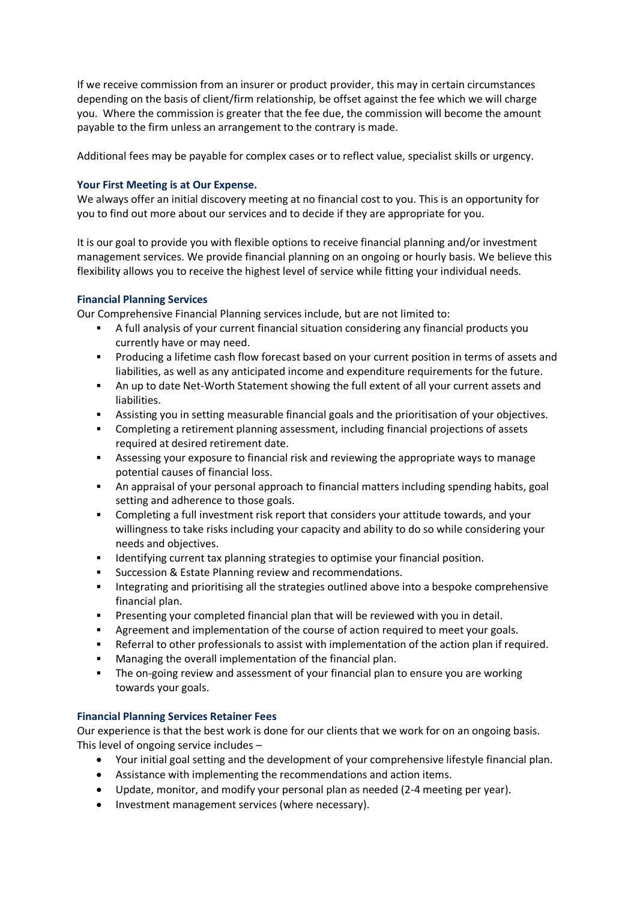If we receive commission from an insurer or product provider, this may in certain circumstances depending on the basis of client/firm relationship, be offset against the fee which we will charge you. Where the commission is greater that the fee due, the commission will become the amount payable to the firm unless an arrangement to the contrary is made.

Additional fees may be payable for complex cases or to reflect value, specialist skills or urgency.

# **Your First Meeting is at Our Expense.**

We always offer an initial discovery meeting at no financial cost to you. This is an opportunity for you to find out more about our services and to decide if they are appropriate for you.

It is our goal to provide you with flexible options to receive financial planning and/or investment management services. We provide financial planning on an ongoing or hourly basis. We believe this flexibility allows you to receive the highest level of service while fitting your individual needs.

# **Financial Planning Services**

Our Comprehensive Financial Planning services include, but are not limited to:

- A full analysis of your current financial situation considering any financial products you currently have or may need.
- **•** Producing a lifetime cash flow forecast based on your current position in terms of assets and liabilities, as well as any anticipated income and expenditure requirements for the future.
- An up to date Net-Worth Statement showing the full extent of all your current assets and liabilities.
- Assisting you in setting measurable financial goals and the prioritisation of your objectives.
- Completing a retirement planning assessment, including financial projections of assets required at desired retirement date.
- **EXE** Assessing your exposure to financial risk and reviewing the appropriate ways to manage potential causes of financial loss.
- An appraisal of your personal approach to financial matters including spending habits, goal setting and adherence to those goals.
- Completing a full investment risk report that considers your attitude towards, and your willingness to take risks including your capacity and ability to do so while considering your needs and objectives.
- Identifying current tax planning strategies to optimise your financial position.
- Succession & Estate Planning review and recommendations.
- **•** Integrating and prioritising all the strategies outlined above into a bespoke comprehensive financial plan.
- **•** Presenting your completed financial plan that will be reviewed with you in detail.
- **EXE** Agreement and implementation of the course of action required to meet your goals.
- **EXECT** Referral to other professionals to assist with implementation of the action plan if required.
- Managing the overall implementation of the financial plan.
- **EXTHS** The on-going review and assessment of your financial plan to ensure you are working towards your goals.

# **Financial Planning Services Retainer Fees**

Our experience is that the best work is done for our clients that we work for on an ongoing basis. This level of ongoing service includes –

- Your initial goal setting and the development of your comprehensive lifestyle financial plan.
- Assistance with implementing the recommendations and action items.
- Update, monitor, and modify your personal plan as needed (2-4 meeting per year).
- Investment management services (where necessary).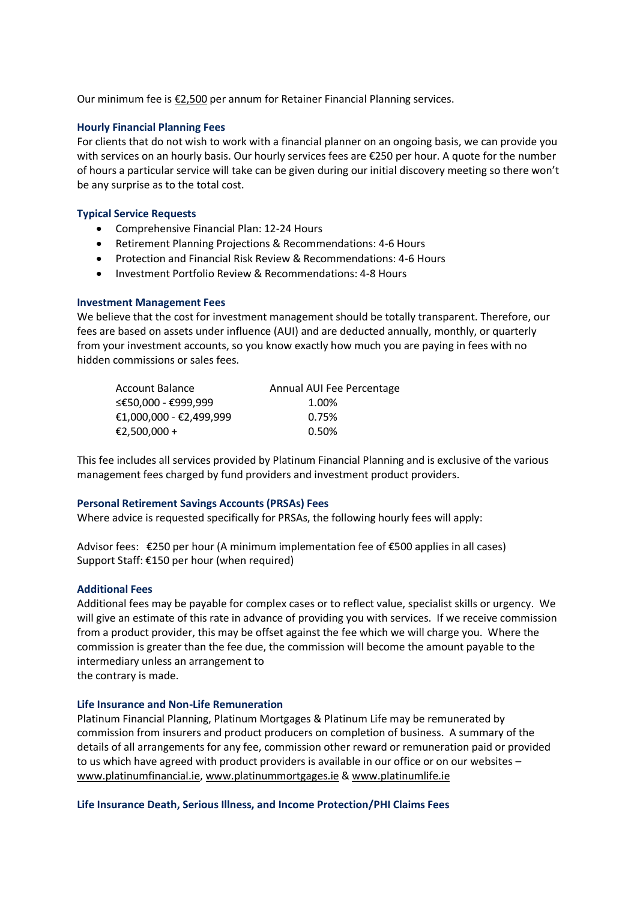Our minimum fee is  $E$ 2,500 per annum for Retainer Financial Planning services.

#### **Hourly Financial Planning Fees**

For clients that do not wish to work with a financial planner on an ongoing basis, we can provide you with services on an hourly basis. Our hourly services fees are €250 per hour. A quote for the number of hours a particular service will take can be given during our initial discovery meeting so there won't be any surprise as to the total cost.

#### **Typical Service Requests**

- Comprehensive Financial Plan: 12-24 Hours
- Retirement Planning Projections & Recommendations: 4-6 Hours
- Protection and Financial Risk Review & Recommendations: 4-6 Hours
- Investment Portfolio Review & Recommendations: 4-8 Hours

#### **Investment Management Fees**

We believe that the cost for investment management should be totally transparent. Therefore, our fees are based on assets under influence (AUI) and are deducted annually, monthly, or quarterly from your investment accounts, so you know exactly how much you are paying in fees with no hidden commissions or sales fees.

| <b>Account Balance</b>  | Annual AUI Fee Percentage |
|-------------------------|---------------------------|
| ≤€50.000 - €999.999     | 1.00%                     |
| €1,000,000 - €2,499,999 | 0.75%                     |
| €2,500,000 +            | 0.50%                     |

This fee includes all services provided by Platinum Financial Planning and is exclusive of the various management fees charged by fund providers and investment product providers.

#### **Personal Retirement Savings Accounts (PRSAs) Fees**

Where advice is requested specifically for PRSAs, the following hourly fees will apply:

Advisor fees: €250 per hour (A minimum implementation fee of €500 applies in all cases) Support Staff: €150 per hour (when required)

#### **Additional Fees**

Additional fees may be payable for complex cases or to reflect value, specialist skills or urgency. We will give an estimate of this rate in advance of providing you with services. If we receive commission from a product provider, this may be offset against the fee which we will charge you. Where the commission is greater than the fee due, the commission will become the amount payable to the intermediary unless an arrangement to the contrary is made.

#### **Life Insurance and Non-Life Remuneration**

Platinum Financial Planning, Platinum Mortgages & Platinum Life may be remunerated by commission from insurers and product producers on completion of business. A summary of the details of all arrangements for any fee, commission other reward or remuneration paid or provided to us which have agreed with product providers is available in our office or on our websites – [www.platinumfinancial.ie,](http://www.platinumfinancial.ie/) [www.platinummortgages.ie](http://www.platinummortgages.ie/) & [www.platinumlife.ie](http://www.platinumlife.ie/)

#### **Life Insurance Death, Serious Illness, and Income Protection/PHI Claims Fees**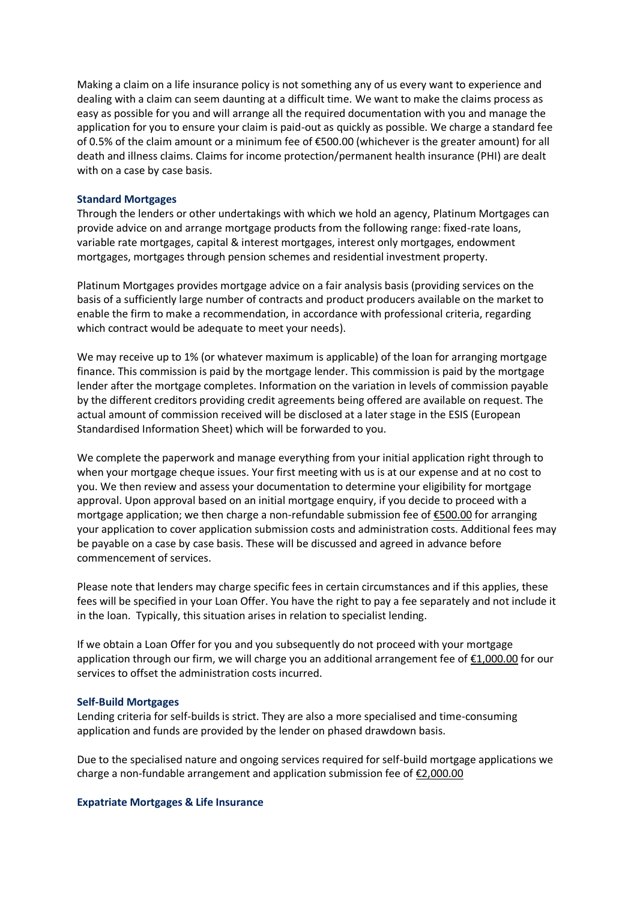Making a claim on a life insurance policy is not something any of us every want to experience and dealing with a claim can seem daunting at a difficult time. We want to make the claims process as easy as possible for you and will arrange all the required documentation with you and manage the application for you to ensure your claim is paid-out as quickly as possible. We charge a standard fee of 0.5% of the claim amount or a minimum fee of €500.00 (whichever is the greater amount) for all death and illness claims. Claims for income protection/permanent health insurance (PHI) are dealt with on a case by case basis.

#### **Standard Mortgages**

Through the lenders or other undertakings with which we hold an agency, Platinum Mortgages can provide advice on and arrange mortgage products from the following range: fixed-rate loans, variable rate mortgages, capital & interest mortgages, interest only mortgages, endowment mortgages, mortgages through pension schemes and residential investment property.

Platinum Mortgages provides mortgage advice on a fair analysis basis (providing services on the basis of a sufficiently large number of contracts and product producers available on the market to enable the firm to make a recommendation, in accordance with professional criteria, regarding which contract would be adequate to meet your needs).

We may receive up to 1% (or whatever maximum is applicable) of the loan for arranging mortgage finance. This commission is paid by the mortgage lender. This commission is paid by the mortgage lender after the mortgage completes. Information on the variation in levels of commission payable by the different creditors providing credit agreements being offered are available on request. The actual amount of commission received will be disclosed at a later stage in the ESIS (European Standardised Information Sheet) which will be forwarded to you.

We complete the paperwork and manage everything from your initial application right through to when your mortgage cheque issues. Your first meeting with us is at our expense and at no cost to you. We then review and assess your documentation to determine your eligibility for mortgage approval. Upon approval based on an initial mortgage enquiry, if you decide to proceed with a mortgage application; we then charge a non-refundable submission fee of €500.00 for arranging your application to cover application submission costs and administration costs. Additional fees may be payable on a case by case basis. These will be discussed and agreed in advance before commencement of services.

Please note that lenders may charge specific fees in certain circumstances and if this applies, these fees will be specified in your Loan Offer. You have the right to pay a fee separately and not include it in the loan. Typically, this situation arises in relation to specialist lending.

If we obtain a Loan Offer for you and you subsequently do not proceed with your mortgage application through our firm, we will charge you an additional arrangement fee of €1,000.00 for our services to offset the administration costs incurred.

#### **Self-Build Mortgages**

Lending criteria for self-builds is strict. They are also a more specialised and time-consuming application and funds are provided by the lender on phased drawdown basis.

Due to the specialised nature and ongoing services required for self-build mortgage applications we charge a non-fundable arrangement and application submission fee of €2,000.00

#### **Expatriate Mortgages & Life Insurance**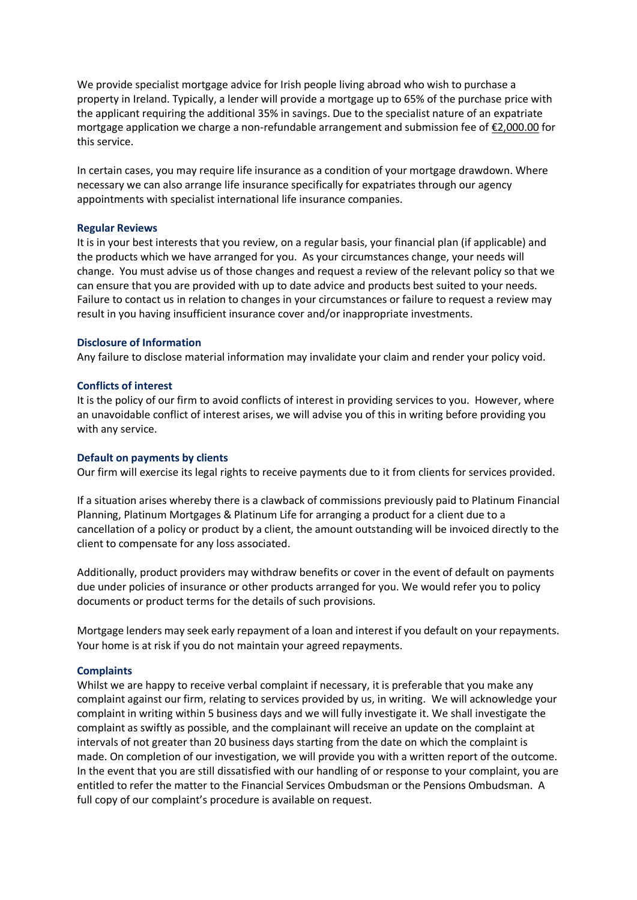We provide specialist mortgage advice for Irish people living abroad who wish to purchase a property in Ireland. Typically, a lender will provide a mortgage up to 65% of the purchase price with the applicant requiring the additional 35% in savings. Due to the specialist nature of an expatriate mortgage application we charge a non-refundable arrangement and submission fee of €2,000.00 for this service.

In certain cases, you may require life insurance as a condition of your mortgage drawdown. Where necessary we can also arrange life insurance specifically for expatriates through our agency appointments with specialist international life insurance companies.

#### **Regular Reviews**

It is in your best interests that you review, on a regular basis, your financial plan (if applicable) and the products which we have arranged for you. As your circumstances change, your needs will change. You must advise us of those changes and request a review of the relevant policy so that we can ensure that you are provided with up to date advice and products best suited to your needs. Failure to contact us in relation to changes in your circumstances or failure to request a review may result in you having insufficient insurance cover and/or inappropriate investments.

#### **Disclosure of Information**

Any failure to disclose material information may invalidate your claim and render your policy void.

#### **Conflicts of interest**

It is the policy of our firm to avoid conflicts of interest in providing services to you. However, where an unavoidable conflict of interest arises, we will advise you of this in writing before providing you with any service.

#### **Default on payments by clients**

Our firm will exercise its legal rights to receive payments due to it from clients for services provided.

If a situation arises whereby there is a clawback of commissions previously paid to Platinum Financial Planning, Platinum Mortgages & Platinum Life for arranging a product for a client due to a cancellation of a policy or product by a client, the amount outstanding will be invoiced directly to the client to compensate for any loss associated.

Additionally, product providers may withdraw benefits or cover in the event of default on payments due under policies of insurance or other products arranged for you. We would refer you to policy documents or product terms for the details of such provisions.

Mortgage lenders may seek early repayment of a loan and interest if you default on your repayments. Your home is at risk if you do not maintain your agreed repayments.

#### **Complaints**

Whilst we are happy to receive verbal complaint if necessary, it is preferable that you make any complaint against our firm, relating to services provided by us, in writing. We will acknowledge your complaint in writing within 5 business days and we will fully investigate it. We shall investigate the complaint as swiftly as possible, and the complainant will receive an update on the complaint at intervals of not greater than 20 business days starting from the date on which the complaint is made. On completion of our investigation, we will provide you with a written report of the outcome. In the event that you are still dissatisfied with our handling of or response to your complaint, you are entitled to refer the matter to the Financial Services Ombudsman or the Pensions Ombudsman. A full copy of our complaint's procedure is available on request.